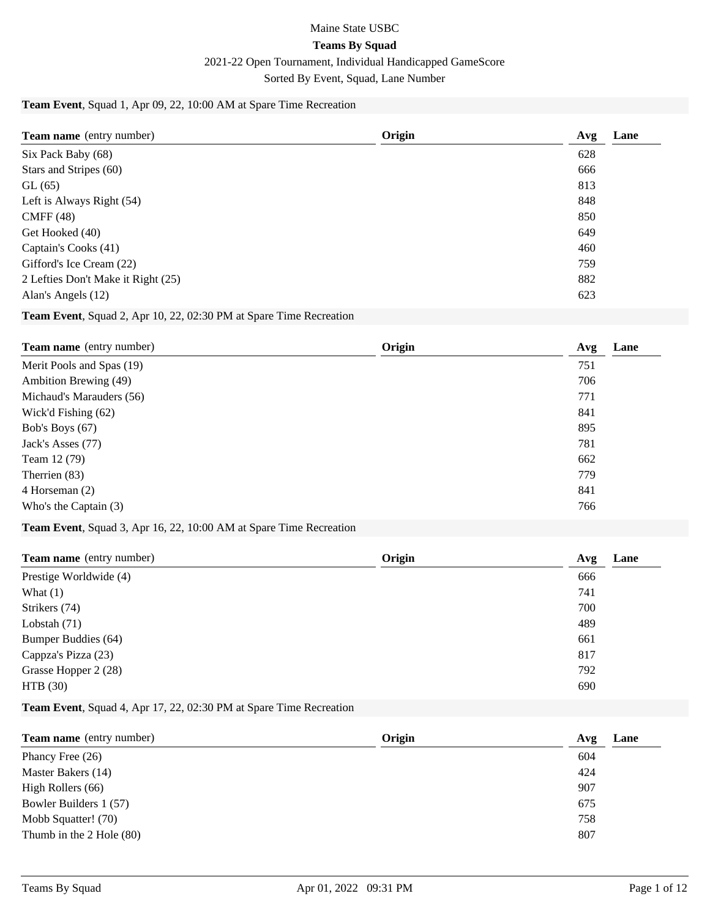# Maine State USBC **Teams By Squad** 2021-22 Open Tournament, Individual Handicapped GameScore Sorted By Event, Squad, Lane Number

## **Team Event**, Squad 1, Apr 09, 22, 10:00 AM at Spare Time Recreation

| Team name (entry number)           | Origin | Lane<br>Avg |
|------------------------------------|--------|-------------|
| Six Pack Baby (68)                 |        | 628         |
| Stars and Stripes (60)             |        | 666         |
| GL(65)                             |        | 813         |
| Left is Always Right (54)          |        | 848         |
| CMFF(48)                           |        | 850         |
| Get Hooked (40)                    |        | 649         |
| Captain's Cooks (41)               |        | 460         |
| Gifford's Ice Cream (22)           |        | 759         |
| 2 Lefties Don't Make it Right (25) |        | 882         |
| Alan's Angels (12)                 |        | 623         |

#### **Team Event**, Squad 2, Apr 10, 22, 02:30 PM at Spare Time Recreation

| Origin | Lane<br>Avg |
|--------|-------------|
|        | 751         |
|        | 706         |
|        | 771         |
|        | 841         |
|        | 895         |
|        | 781         |
|        | 662         |
|        | 779         |
|        | 841         |
|        | 766         |
|        |             |

#### **Team Event**, Squad 3, Apr 16, 22, 10:00 AM at Spare Time Recreation

| Origin<br>Lane<br>Avg |
|-----------------------|
| 666                   |
| 741                   |
| 700                   |
| 489                   |
| 661                   |
| 817                   |
| 792                   |
| 690                   |
|                       |

## **Team Event**, Squad 4, Apr 17, 22, 02:30 PM at Spare Time Recreation

| <b>Team name</b> (entry number) | Origin | Lane<br>Avg |
|---------------------------------|--------|-------------|
| Phancy Free $(26)$              |        | 604         |
| Master Bakers (14)              |        | 424         |
| High Rollers (66)               |        | 907         |
| Bowler Builders 1 (57)          |        | 675         |
| Mobb Squatter! (70)             |        | 758         |
| Thumb in the 2 Hole (80)        |        | 807         |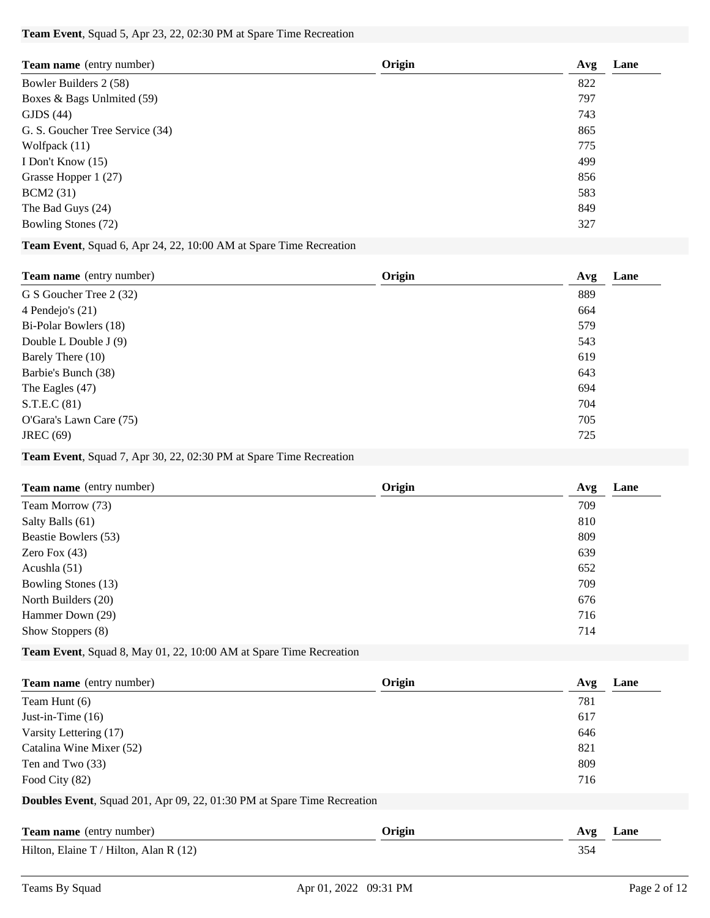### **Team Event**, Squad 5, Apr 23, 22, 02:30 PM at Spare Time Recreation

| Team name (entry number)        | Origin | Avg | Lane |
|---------------------------------|--------|-----|------|
| Bowler Builders 2 (58)          |        | 822 |      |
| Boxes & Bags Unlmited (59)      |        | 797 |      |
| GIDS(44)                        |        | 743 |      |
| G. S. Goucher Tree Service (34) |        | 865 |      |
| Wolfpack $(11)$                 |        | 775 |      |
| I Don't Know $(15)$             |        | 499 |      |
| Grasse Hopper 1 (27)            |        | 856 |      |
| <b>BCM2</b> (31)                |        | 583 |      |
| The Bad Guys (24)               |        | 849 |      |
| Bowling Stones (72)             |        | 327 |      |

### **Team Event**, Squad 6, Apr 24, 22, 10:00 AM at Spare Time Recreation

| Team name (entry number) | Origin | Avg | Lane |
|--------------------------|--------|-----|------|
| G S Goucher Tree 2 (32)  |        | 889 |      |
| 4 Pendejo's (21)         |        | 664 |      |
| Bi-Polar Bowlers (18)    |        | 579 |      |
| Double L Double J (9)    |        | 543 |      |
| Barely There (10)        |        | 619 |      |
| Barbie's Bunch (38)      |        | 643 |      |
| The Eagles $(47)$        |        | 694 |      |
| S.T.E.C(81)              |        | 704 |      |
| O'Gara's Lawn Care (75)  |        | 705 |      |
| <b>JREC</b> (69)         |        | 725 |      |

#### **Team Event**, Squad 7, Apr 30, 22, 02:30 PM at Spare Time Recreation

| <b>Team name</b> (entry number) | Origin | Lane<br>Avg |
|---------------------------------|--------|-------------|
| Team Morrow (73)                |        | 709         |
| Salty Balls (61)                |        | 810         |
| Beastie Bowlers (53)            |        | 809         |
| Zero Fox $(43)$                 |        | 639         |
| Acushla $(51)$                  |        | 652         |
| Bowling Stones (13)             |        | 709         |
| North Builders (20)             |        | 676         |
| Hammer Down (29)                |        | 716         |
| Show Stoppers (8)               |        | 714         |
|                                 |        |             |

## **Team Event**, Squad 8, May 01, 22, 10:00 AM at Spare Time Recreation

| <b>Team name</b> (entry number)                                                 | Origin | Lane<br>Avg |
|---------------------------------------------------------------------------------|--------|-------------|
| Team Hunt (6)                                                                   |        | 781         |
| Just-in-Time $(16)$                                                             |        | 617         |
| Varsity Lettering (17)                                                          |        | 646         |
| Catalina Wine Mixer (52)                                                        |        | 821         |
| Ten and Two (33)                                                                |        | 809         |
| Food City (82)                                                                  |        | 716         |
| <b>Doubles Event</b> , Squad 201, Apr 09, 22, 01:30 PM at Spare Time Recreation |        |             |
| <b>Team name</b> (entry number)                                                 | Origin | Lane<br>Avg |
| Hilton, Elaine T / Hilton, Alan R $(12)$                                        |        | 354         |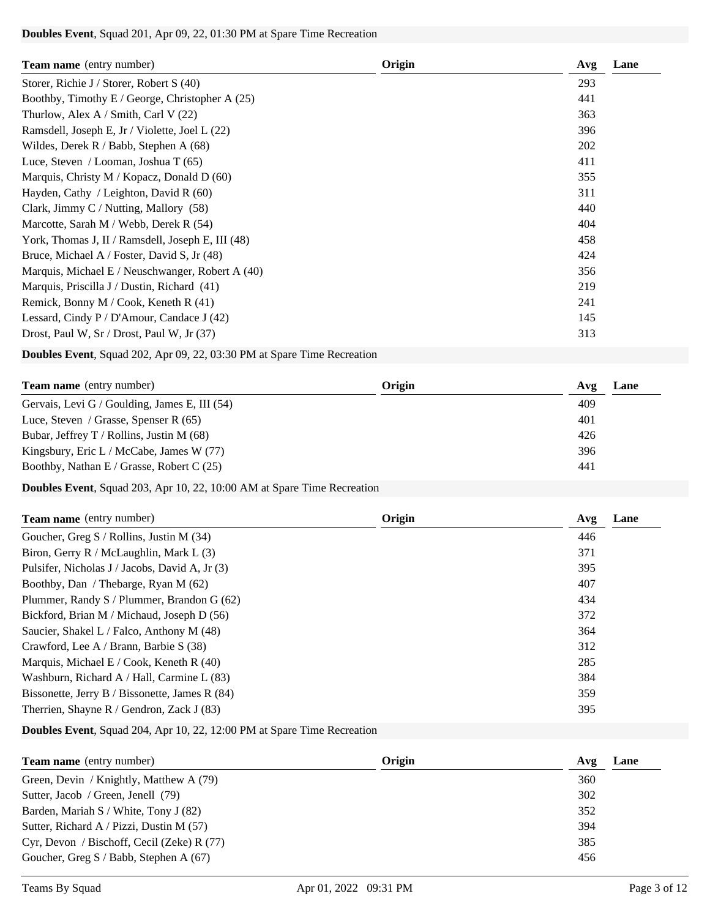### **Doubles Event**, Squad 201, Apr 09, 22, 01:30 PM at Spare Time Recreation

| <b>Team name</b> (entry number)                   | Origin | Avg<br>Lane |
|---------------------------------------------------|--------|-------------|
| Storer, Richie J / Storer, Robert S (40)          |        | 293         |
| Boothby, Timothy E / George, Christopher A (25)   |        | 441         |
| Thurlow, Alex A / Smith, Carl V $(22)$            |        | 363         |
| Ramsdell, Joseph E, Jr / Violette, Joel L (22)    |        | 396         |
| Wildes, Derek $R / Babb$ , Stephen A (68)         |        | 202         |
| Luce, Steven / Looman, Joshua T $(65)$            |        | 411         |
| Marquis, Christy M / Kopacz, Donald D (60)        |        | 355         |
| Hayden, Cathy / Leighton, David R $(60)$          |        | 311         |
| Clark, Jimmy C / Nutting, Mallory (58)            |        | 440         |
| Marcotte, Sarah M / Webb, Derek R (54)            |        | 404         |
| York, Thomas J, II / Ramsdell, Joseph E, III (48) |        | 458         |
| Bruce, Michael A / Foster, David S, Jr (48)       |        | 424         |
| Marquis, Michael E / Neuschwanger, Robert A (40)  |        | 356         |
| Marquis, Priscilla J / Dustin, Richard (41)       |        | 219         |
| Remick, Bonny M / Cook, Keneth R (41)             |        | 241         |
| Lessard, Cindy P / D'Amour, Candace J (42)        |        | 145         |
| Drost, Paul W, Sr / Drost, Paul W, Jr (37)        |        | 313         |

**Doubles Event**, Squad 202, Apr 09, 22, 03:30 PM at Spare Time Recreation

| <b>Team name</b> (entry number)               | Origin | Lane<br>Avg |
|-----------------------------------------------|--------|-------------|
| Gervais, Levi G / Goulding, James E, III (54) |        | 409         |
| Luce, Steven / Grasse, Spenser R $(65)$       |        | 401         |
| Bubar, Jeffrey T / Rollins, Justin M $(68)$   |        | 426         |
| Kingsbury, Eric L / McCabe, James W (77)      |        | 396         |
| Boothby, Nathan E / Grasse, Robert C (25)     |        | 441         |

**Doubles Event**, Squad 203, Apr 10, 22, 10:00 AM at Spare Time Recreation

| <b>Team name</b> (entry number)                | Origin | Lane<br>Avg |
|------------------------------------------------|--------|-------------|
| Goucher, Greg S / Rollins, Justin M (34)       |        | 446         |
| Biron, Gerry R / McLaughlin, Mark L (3)        |        | 371         |
| Pulsifer, Nicholas J / Jacobs, David A, Jr (3) |        | 395         |
| Boothby, Dan / Thebarge, Ryan M (62)           |        | 407         |
| Plummer, Randy S / Plummer, Brandon G (62)     |        | 434         |
| Bickford, Brian M / Michaud, Joseph D (56)     |        | 372         |
| Saucier, Shakel L / Falco, Anthony M (48)      |        | 364         |
| Crawford, Lee A / Brann, Barbie S (38)         |        | 312         |
| Marquis, Michael E / Cook, Keneth R $(40)$     |        | 285         |
| Washburn, Richard A / Hall, Carmine L (83)     |        | 384         |
| Bissonette, Jerry B / Bissonette, James R (84) |        | 359         |
| Therrien, Shayne R / Gendron, Zack J (83)      |        | 395         |

**Doubles Event**, Squad 204, Apr 10, 22, 12:00 PM at Spare Time Recreation

| <b>Team name</b> (entry number)              | Origin | Avg | Lane |
|----------------------------------------------|--------|-----|------|
| Green, Devin / Knightly, Matthew A (79)      |        | 360 |      |
| Sutter, Jacob / Green, Jenell (79)           |        | 302 |      |
| Barden, Mariah S / White, Tony J (82)        |        | 352 |      |
| Sutter, Richard A / Pizzi, Dustin M (57)     |        | 394 |      |
| Cyr, Devon / Bischoff, Cecil (Zeke) R $(77)$ |        | 385 |      |
| Goucher, Greg S / Babb, Stephen A (67)       |        | 456 |      |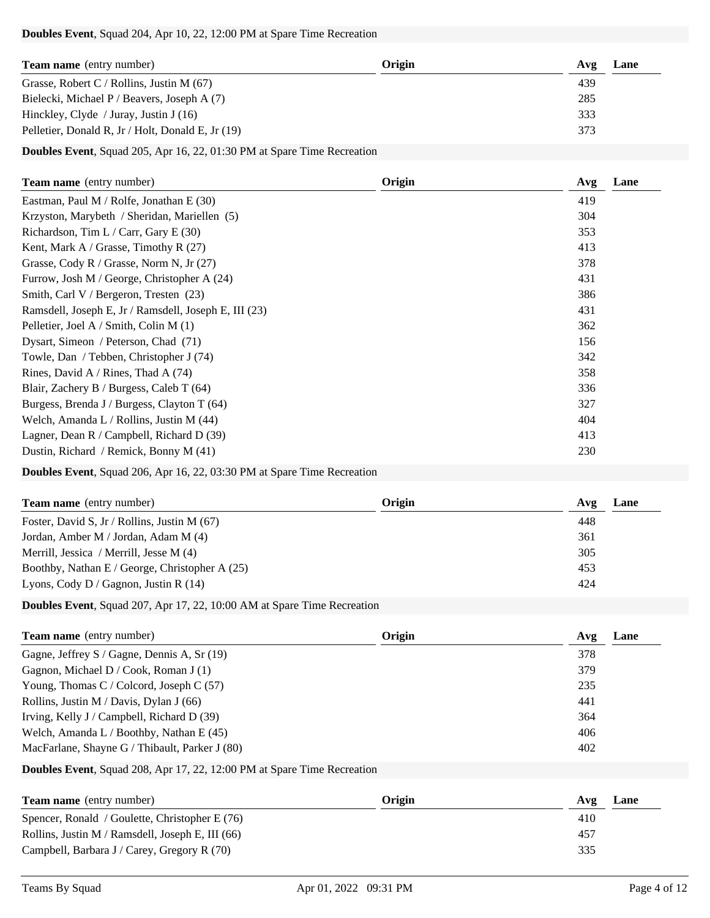#### **Doubles Event**, Squad 204, Apr 10, 22, 12:00 PM at Spare Time Recreation

| <b>Team name</b> (entry number)                   | Origin | Avg | Lane |
|---------------------------------------------------|--------|-----|------|
| Grasse, Robert C / Rollins, Justin M $(67)$       |        | 439 |      |
| Bielecki, Michael P / Beavers, Joseph A (7)       |        | 285 |      |
| Hinckley, Clyde / Juray, Justin J $(16)$          |        | 333 |      |
| Pelletier, Donald R, Jr / Holt, Donald E, Jr (19) |        | 373 |      |

**Doubles Event**, Squad 205, Apr 16, 22, 01:30 PM at Spare Time Recreation

| Team name (entry number)                              | Origin | Lane<br>Avg |
|-------------------------------------------------------|--------|-------------|
| Eastman, Paul M / Rolfe, Jonathan E (30)              |        | 419         |
| Krzyston, Marybeth / Sheridan, Mariellen (5)          |        | 304         |
| Richardson, Tim L / Carr, Gary E $(30)$               |        | 353         |
| Kent, Mark A / Grasse, Timothy R $(27)$               |        | 413         |
| Grasse, Cody R / Grasse, Norm N, Jr $(27)$            |        | 378         |
| Furrow, Josh M / George, Christopher A (24)           |        | 431         |
| Smith, Carl V / Bergeron, Tresten (23)                |        | 386         |
| Ramsdell, Joseph E, Jr / Ramsdell, Joseph E, III (23) |        | 431         |
| Pelletier, Joel A / Smith, Colin M $(1)$              |        | 362         |
| Dysart, Simeon / Peterson, Chad (71)                  |        | 156         |
| Towle, Dan / Tebben, Christopher J (74)               |        | 342         |
| Rines, David A / Rines, Thad A $(74)$                 |        | 358         |
| Blair, Zachery B / Burgess, Caleb T (64)              |        | 336         |
| Burgess, Brenda J / Burgess, Clayton T (64)           |        | 327         |
| Welch, Amanda L / Rollins, Justin M (44)              |        | 404         |
| Lagner, Dean R / Campbell, Richard D (39)             |        | 413         |
| Dustin, Richard / Remick, Bonny M (41)                |        | 230         |

## **Doubles Event**, Squad 206, Apr 16, 22, 03:30 PM at Spare Time Recreation

| <b>Team name</b> (entry number)                | Origin | Lane<br>Avg |
|------------------------------------------------|--------|-------------|
| Foster, David S, Jr / Rollins, Justin M $(67)$ |        | 448         |
| Jordan, Amber M / Jordan, Adam M (4)           |        | 361         |
| Merrill, Jessica / Merrill, Jesse M (4)        |        | 305         |
| Boothby, Nathan E / George, Christopher A (25) |        | 453         |
| Lyons, Cody D / Gagnon, Justin R $(14)$        |        | 424         |

**Doubles Event**, Squad 207, Apr 17, 22, 10:00 AM at Spare Time Recreation

| Team name (entry number)                       | Origin<br>Avg | Lane |
|------------------------------------------------|---------------|------|
| Gagne, Jeffrey S / Gagne, Dennis A, Sr (19)    | 378           |      |
| Gagnon, Michael D / Cook, Roman J (1)          | 379           |      |
| Young, Thomas C / Colcord, Joseph C $(57)$     | 235           |      |
| Rollins, Justin M / Davis, Dylan J $(66)$      | 441           |      |
| Irving, Kelly J / Campbell, Richard D (39)     | 364           |      |
| Welch, Amanda L / Boothby, Nathan E $(45)$     | 406           |      |
| MacFarlane, Shayne G / Thibault, Parker J (80) | 402           |      |

**Doubles Event**, Squad 208, Apr 17, 22, 12:00 PM at Spare Time Recreation

| <b>Team name</b> (entry number)                  | Origin | Avg | Lane |
|--------------------------------------------------|--------|-----|------|
| Spencer, Ronald / Goulette, Christopher E $(76)$ |        | 410 |      |
| Rollins, Justin M / Ramsdell, Joseph E, III (66) |        | 457 |      |
| Campbell, Barbara J / Carey, Gregory R $(70)$    |        | 335 |      |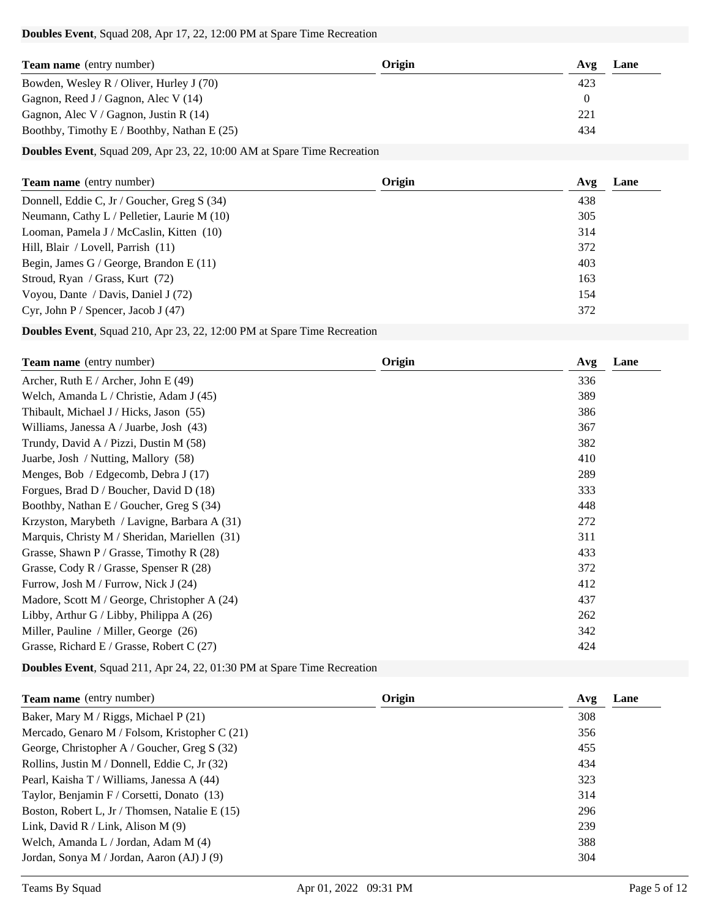#### **Doubles Event**, Squad 208, Apr 17, 22, 12:00 PM at Spare Time Recreation

| Origin | Avg | Lane |
|--------|-----|------|
|        | 423 |      |
|        |     |      |
|        | 221 |      |
|        | 434 |      |
|        |     |      |

**Doubles Event**, Squad 209, Apr 23, 22, 10:00 AM at Spare Time Recreation

| 438 |
|-----|
|     |
| 305 |
| 314 |
| 372 |
| 403 |
| 163 |
| 154 |
| 372 |
|     |

**Doubles Event**, Squad 210, Apr 23, 22, 12:00 PM at Spare Time Recreation

| <b>Team name</b> (entry number)               | Origin | Lane<br>Avg |
|-----------------------------------------------|--------|-------------|
| Archer, Ruth E / Archer, John E $(49)$        |        | 336         |
| Welch, Amanda L / Christie, Adam J (45)       |        | 389         |
| Thibault, Michael J / Hicks, Jason (55)       |        | 386         |
| Williams, Janessa A / Juarbe, Josh (43)       |        | 367         |
| Trundy, David A / Pizzi, Dustin M (58)        |        | 382         |
| Juarbe, Josh / Nutting, Mallory (58)          |        | 410         |
| Menges, Bob / Edgecomb, Debra J (17)          |        | 289         |
| Forgues, Brad D / Boucher, David D (18)       |        | 333         |
| Boothby, Nathan E / Goucher, Greg S (34)      |        | 448         |
| Krzyston, Marybeth / Lavigne, Barbara A (31)  |        | 272         |
| Marquis, Christy M / Sheridan, Mariellen (31) |        | 311         |
| Grasse, Shawn $P /$ Grasse, Timothy R (28)    |        | 433         |
| Grasse, Cody R / Grasse, Spenser R $(28)$     |        | 372         |
| Furrow, Josh M / Furrow, Nick J (24)          |        | 412         |
| Madore, Scott M / George, Christopher A (24)  |        | 437         |
| Libby, Arthur G / Libby, Philippa A (26)      |        | 262         |
| Miller, Pauline / Miller, George (26)         |        | 342         |
| Grasse, Richard E / Grasse, Robert C (27)     |        | 424         |

**Doubles Event**, Squad 211, Apr 24, 22, 01:30 PM at Spare Time Recreation

| <b>Team name</b> (entry number)                 | Origin | Lane<br>Avg |
|-------------------------------------------------|--------|-------------|
| Baker, Mary M / Riggs, Michael P (21)           |        | 308         |
| Mercado, Genaro M / Folsom, Kristopher C $(21)$ |        | 356         |
| George, Christopher A / Goucher, Greg S (32)    |        | 455         |
| Rollins, Justin M / Donnell, Eddie C, Jr (32)   |        | 434         |
| Pearl, Kaisha T / Williams, Janessa A (44)      |        | 323         |
| Taylor, Benjamin F / Corsetti, Donato (13)      |        | 314         |
| Boston, Robert L, Jr / Thomsen, Natalie E (15)  |        | 296         |
| Link, David R / Link, Alison M $(9)$            |        | 239         |
| Welch, Amanda L / Jordan, Adam M (4)            |        | 388         |
| Jordan, Sonya M / Jordan, Aaron (AJ) J (9)      |        | 304         |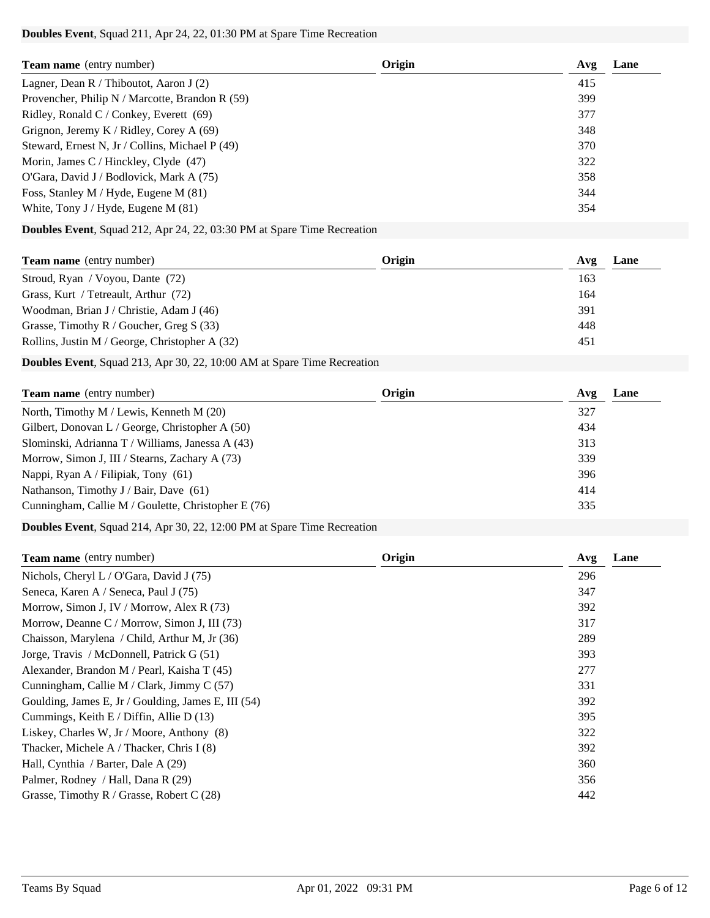### **Doubles Event**, Squad 211, Apr 24, 22, 01:30 PM at Spare Time Recreation

| <b>Team name</b> (entry number)                   | Origin | Lane<br>Avg |
|---------------------------------------------------|--------|-------------|
| Lagner, Dean R / Thiboutot, Aaron J $(2)$         |        | 415         |
| Provencher, Philip N / Marcotte, Brandon R $(59)$ |        | 399         |
| Ridley, Ronald C / Conkey, Everett $(69)$         |        | 377         |
| Grignon, Jeremy K / Ridley, Corey A $(69)$        |        | 348         |
| Steward, Ernest N, Jr / Collins, Michael P (49)   |        | 370         |
| Morin, James C / Hinckley, Clyde $(47)$           |        | 322         |
| O'Gara, David J / Bodlovick, Mark A (75)          |        | 358         |
| Foss, Stanley M / Hyde, Eugene M (81)             |        | 344         |
| White, Tony J / Hyde, Eugene M $(81)$             |        | 354         |

## **Doubles Event**, Squad 212, Apr 24, 22, 03:30 PM at Spare Time Recreation

| <b>Team name</b> (entry number)                | Origin | Lane<br>Avg |
|------------------------------------------------|--------|-------------|
| Stroud, Ryan / Voyou, Dante (72)               |        | 163         |
| Grass, Kurt / Tetreault, Arthur (72)           |        | 164         |
| Woodman, Brian J / Christie, Adam J (46)       |        | 391         |
| Grasse, Timothy R / Goucher, Greg S $(33)$     |        | 448         |
| Rollins, Justin M / George, Christopher A (32) |        | 451         |

**Doubles Event**, Squad 213, Apr 30, 22, 10:00 AM at Spare Time Recreation

| <b>Team name</b> (entry number)                     | Origin | Lane<br>Avg |
|-----------------------------------------------------|--------|-------------|
| North, Timothy M / Lewis, Kenneth M (20)            |        | 327         |
| Gilbert, Donovan L / George, Christopher A $(50)$   |        | 434         |
| Slominski, Adrianna T / Williams, Janessa A (43)    |        | 313         |
| Morrow, Simon J, III / Stearns, Zachary A (73)      |        | 339         |
| Nappi, Ryan A / Filipiak, Tony (61)                 |        | 396         |
| Nathanson, Timothy J / Bair, Dave (61)              |        | 414         |
| Cunningham, Callie M / Goulette, Christopher E (76) |        | 335         |

**Doubles Event**, Squad 214, Apr 30, 22, 12:00 PM at Spare Time Recreation

| <b>Team name</b> (entry number)                     | Origin | Avg | Lane |
|-----------------------------------------------------|--------|-----|------|
| Nichols, Cheryl L / O'Gara, David J $(75)$          |        | 296 |      |
| Seneca, Karen A / Seneca, Paul J (75)               |        | 347 |      |
| Morrow, Simon J, IV / Morrow, Alex R (73)           |        | 392 |      |
| Morrow, Deanne C / Morrow, Simon J, III (73)        |        | 317 |      |
| Chaisson, Marylena / Child, Arthur M, Jr (36)       |        | 289 |      |
| Jorge, Travis / McDonnell, Patrick G (51)           |        | 393 |      |
| Alexander, Brandon M / Pearl, Kaisha T (45)         |        | 277 |      |
| Cunningham, Callie M / Clark, Jimmy C (57)          |        | 331 |      |
| Goulding, James E, Jr / Goulding, James E, III (54) |        | 392 |      |
| Cummings, Keith E / Diffin, Allie D (13)            |        | 395 |      |
| Liskey, Charles W, Jr / Moore, Anthony (8)          |        | 322 |      |
| Thacker, Michele A / Thacker, Chris I (8)           |        | 392 |      |
| Hall, Cynthia / Barter, Dale A (29)                 |        | 360 |      |
| Palmer, Rodney / Hall, Dana R (29)                  |        | 356 |      |
| Grasse, Timothy R / Grasse, Robert C $(28)$         |        | 442 |      |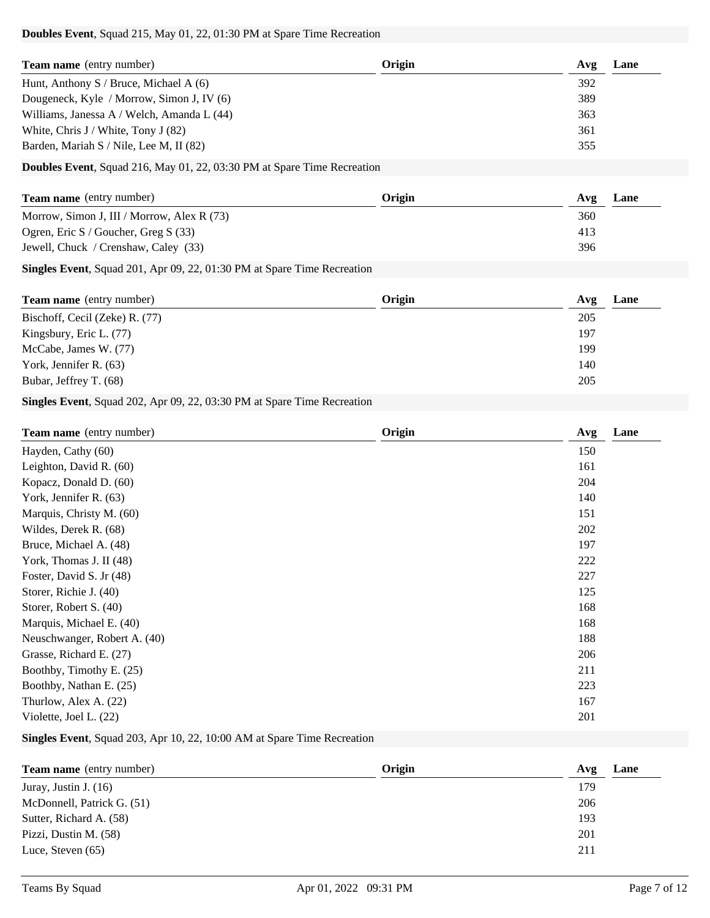#### **Doubles Event**, Squad 215, May 01, 22, 01:30 PM at Spare Time Recreation

| <b>Team name</b> (entry number)            | Origin | Lane<br>Avg |
|--------------------------------------------|--------|-------------|
| Hunt, Anthony S / Bruce, Michael A $(6)$   |        | 392         |
| Dougeneck, Kyle / Morrow, Simon J, IV (6)  |        | 389         |
| Williams, Janessa A / Welch, Amanda L (44) |        | 363         |
| White, Chris $J /$ White, Tony $J(82)$     |        | 361         |
| Barden, Mariah S / Nile, Lee M, II (82)    |        | 355         |

### **Doubles Event**, Squad 216, May 01, 22, 03:30 PM at Spare Time Recreation

| <b>Team name</b> (entry number)            | Origin | Lane<br>Avg |
|--------------------------------------------|--------|-------------|
| Morrow, Simon J, III / Morrow, Alex R (73) |        | 360         |
| Ogren, Eric S / Goucher, Greg S (33)       |        | 413         |
| Jewell, Chuck / Crenshaw, Caley (33)       |        | 396         |

### **Singles Event**, Squad 201, Apr 09, 22, 01:30 PM at Spare Time Recreation

| <b>Team name</b> (entry number) | Origin | Avg | Lane |
|---------------------------------|--------|-----|------|
| Bischoff, Cecil (Zeke) R. (77)  |        | 205 |      |
| Kingsbury, Eric L. (77)         |        | 197 |      |
| McCabe, James W. (77)           |        | 199 |      |
| York, Jennifer R. (63)          |        | 140 |      |
| Bubar, Jeffrey T. (68)          |        | 205 |      |

## **Singles Event**, Squad 202, Apr 09, 22, 03:30 PM at Spare Time Recreation

| <b>Team name</b> (entry number) | Origin | Lane<br>Avg |
|---------------------------------|--------|-------------|
| Hayden, Cathy (60)              |        | 150         |
| Leighton, David R. (60)         |        | 161         |
| Kopacz, Donald D. (60)          |        | 204         |
| York, Jennifer R. (63)          |        | 140         |
| Marquis, Christy M. (60)        |        | 151         |
| Wildes, Derek R. (68)           |        | 202         |
| Bruce, Michael A. (48)          |        | 197         |
| York, Thomas J. II (48)         |        | 222         |
| Foster, David S. Jr (48)        |        | 227         |
| Storer, Richie J. (40)          |        | 125         |
| Storer, Robert S. (40)          |        | 168         |
| Marquis, Michael E. (40)        |        | 168         |
| Neuschwanger, Robert A. (40)    |        | 188         |
| Grasse, Richard E. (27)         |        | 206         |
| Boothby, Timothy E. (25)        |        | 211         |
| Boothby, Nathan E. (25)         |        | 223         |
| Thurlow, Alex A. (22)           |        | 167         |
| Violette, Joel L. (22)          |        | 201         |

### **Singles Event**, Squad 203, Apr 10, 22, 10:00 AM at Spare Time Recreation

| <b>Team name</b> (entry number) | Origin | Lane<br>Avg |
|---------------------------------|--------|-------------|
| Juray, Justin J. $(16)$         |        | 179         |
| McDonnell, Patrick G. (51)      |        | 206         |
| Sutter, Richard A. (58)         |        | 193         |
| Pizzi, Dustin M. (58)           |        | 201         |
| Luce, Steven $(65)$             |        | 211         |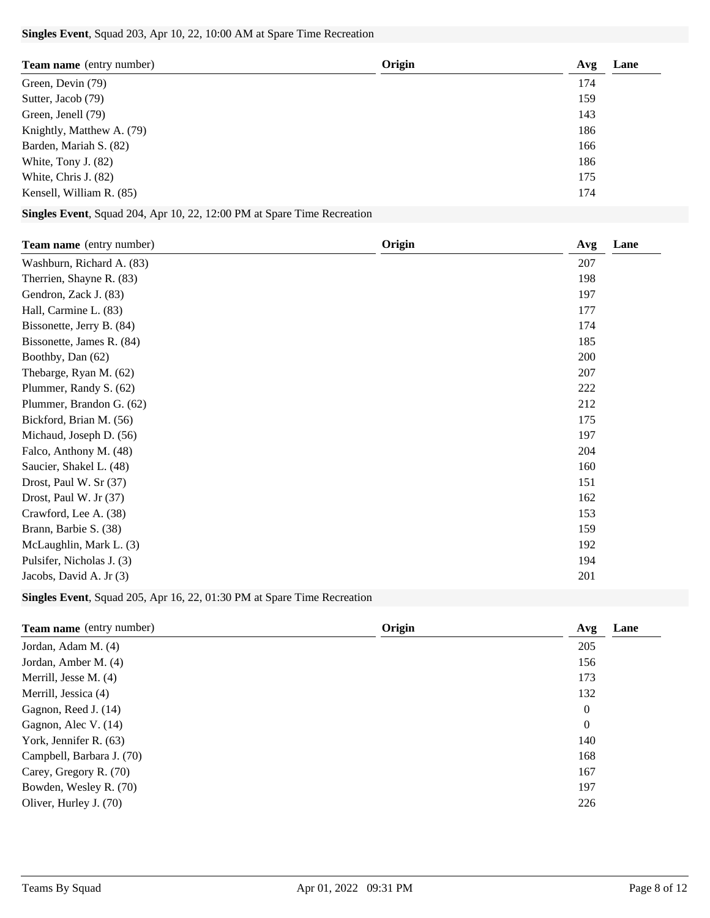### **Singles Event**, Squad 203, Apr 10, 22, 10:00 AM at Spare Time Recreation

| <b>Team name</b> (entry number) | Origin | Avg | Lane |
|---------------------------------|--------|-----|------|
| Green, Devin (79)               |        | 174 |      |
| Sutter, Jacob (79)              |        | 159 |      |
| Green, Jenell (79)              |        | 143 |      |
| Knightly, Matthew A. (79)       |        | 186 |      |
| Barden, Mariah S. (82)          |        | 166 |      |
| White, Tony J. (82)             |        | 186 |      |
| White, Chris J. (82)            |        | 175 |      |
| Kensell, William R. (85)        |        | 174 |      |

# **Singles Event**, Squad 204, Apr 10, 22, 12:00 PM at Spare Time Recreation

| <b>Team name</b> (entry number) | Origin | Lane<br>Avg |
|---------------------------------|--------|-------------|
| Washburn, Richard A. (83)       |        | 207         |
| Therrien, Shayne R. (83)        |        | 198         |
| Gendron, Zack J. (83)           |        | 197         |
| Hall, Carmine L. (83)           |        | 177         |
| Bissonette, Jerry B. (84)       |        | 174         |
| Bissonette, James R. (84)       |        | 185         |
| Boothby, Dan (62)               |        | 200         |
| Thebarge, Ryan M. (62)          |        | 207         |
| Plummer, Randy S. (62)          |        | 222         |
| Plummer, Brandon G. (62)        |        | 212         |
| Bickford, Brian M. (56)         |        | 175         |
| Michaud, Joseph D. (56)         |        | 197         |
| Falco, Anthony M. (48)          |        | 204         |
| Saucier, Shakel L. (48)         |        | 160         |
| Drost, Paul W. Sr (37)          |        | 151         |
| Drost, Paul W. Jr (37)          |        | 162         |
| Crawford, Lee A. (38)           |        | 153         |
| Brann, Barbie S. (38)           |        | 159         |
| McLaughlin, Mark L. (3)         |        | 192         |
| Pulsifer, Nicholas J. (3)       |        | 194         |
| Jacobs, David A. Jr (3)         |        | 201         |

# **Singles Event**, Squad 205, Apr 16, 22, 01:30 PM at Spare Time Recreation

| Team name (entry number)  | Origin | Avg              | Lane |
|---------------------------|--------|------------------|------|
| Jordan, Adam M. (4)       |        | 205              |      |
| Jordan, Amber M. (4)      |        | 156              |      |
| Merrill, Jesse M. (4)     |        | 173              |      |
| Merrill, Jessica (4)      |        | 132              |      |
| Gagnon, Reed J. (14)      |        | $\boldsymbol{0}$ |      |
| Gagnon, Alec V. (14)      |        | $\boldsymbol{0}$ |      |
| York, Jennifer R. (63)    |        | 140              |      |
| Campbell, Barbara J. (70) |        | 168              |      |
| Carey, Gregory R. (70)    |        | 167              |      |
| Bowden, Wesley R. (70)    |        | 197              |      |
| Oliver, Hurley J. (70)    |        | 226              |      |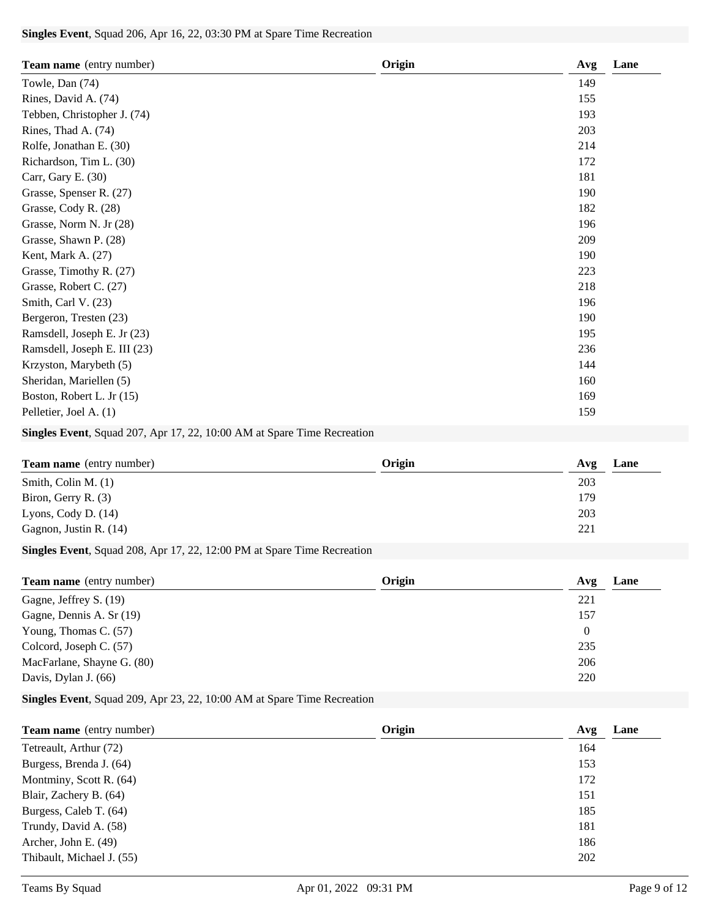### **Singles Event**, Squad 206, Apr 16, 22, 03:30 PM at Spare Time Recreation

| Team name (entry number)     | Origin | Lane<br>Avg |
|------------------------------|--------|-------------|
| Towle, Dan (74)              |        | 149         |
| Rines, David A. (74)         |        | 155         |
| Tebben, Christopher J. (74)  |        | 193         |
| Rines, Thad A. (74)          |        | 203         |
| Rolfe, Jonathan E. (30)      |        | 214         |
| Richardson, Tim L. (30)      |        | 172         |
| Carr, Gary E. (30)           |        | 181         |
| Grasse, Spenser R. (27)      |        | 190         |
| Grasse, Cody R. (28)         |        | 182         |
| Grasse, Norm N. Jr (28)      |        | 196         |
| Grasse, Shawn P. (28)        |        | 209         |
| Kent, Mark A. (27)           |        | 190         |
| Grasse, Timothy R. (27)      |        | 223         |
| Grasse, Robert C. (27)       |        | 218         |
| Smith, Carl V. (23)          |        | 196         |
| Bergeron, Tresten (23)       |        | 190         |
| Ramsdell, Joseph E. Jr (23)  |        | 195         |
| Ramsdell, Joseph E. III (23) |        | 236         |
| Krzyston, Marybeth (5)       |        | 144         |
| Sheridan, Mariellen (5)      |        | 160         |
| Boston, Robert L. Jr (15)    |        | 169         |
| Pelletier, Joel A. (1)       |        | 159         |

# **Singles Event**, Squad 207, Apr 17, 22, 10:00 AM at Spare Time Recreation

| <b>Team name</b> (entry number) | Origin | Avg | Lane |
|---------------------------------|--------|-----|------|
| Smith, Colin M. $(1)$           |        | 203 |      |
| Biron, Gerry R. (3)             |        | 179 |      |
| Lyons, Cody D. $(14)$           |        | 203 |      |
| Gagnon, Justin R. (14)          |        | 221 |      |

## **Singles Event**, Squad 208, Apr 17, 22, 12:00 PM at Spare Time Recreation

| <b>Team name</b> (entry number) | Origin | Lane<br>Avg |
|---------------------------------|--------|-------------|
| Gagne, Jeffrey S. (19)          |        | 221         |
| Gagne, Dennis A. Sr (19)        |        | 157         |
| Young, Thomas C. (57)           |        | 0           |
| Colcord, Joseph C. (57)         |        | 235         |
| MacFarlane, Shayne G. (80)      |        | 206         |
| Davis, Dylan J. (66)            |        | 220         |

# **Singles Event**, Squad 209, Apr 23, 22, 10:00 AM at Spare Time Recreation

| <b>Team name</b> (entry number) | Origin | Lane<br>Avg |
|---------------------------------|--------|-------------|
| Tetreault, Arthur (72)          |        | 164         |
| Burgess, Brenda J. (64)         |        | 153         |
| Montminy, Scott R. (64)         |        | 172         |
| Blair, Zachery B. (64)          |        | 151         |
| Burgess, Caleb T. (64)          |        | 185         |
| Trundy, David A. (58)           |        | 181         |
| Archer, John E. (49)            |        | 186         |
| Thibault, Michael J. (55)       |        | 202         |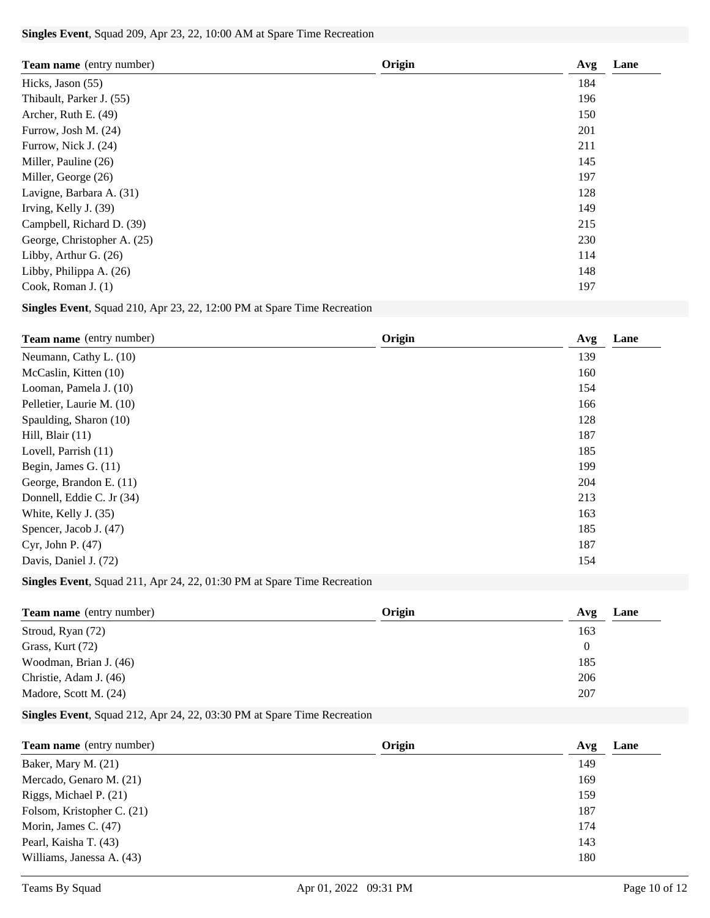### **Singles Event**, Squad 209, Apr 23, 22, 10:00 AM at Spare Time Recreation

| <b>Team name</b> (entry number) | Origin | Lane<br>Avg |
|---------------------------------|--------|-------------|
| Hicks, Jason (55)               |        | 184         |
| Thibault, Parker J. (55)        |        | 196         |
| Archer, Ruth E. (49)            |        | 150         |
| Furrow, Josh M. (24)            |        | 201         |
| Furrow, Nick J. (24)            |        | 211         |
| Miller, Pauline (26)            |        | 145         |
| Miller, George (26)             |        | 197         |
| Lavigne, Barbara A. (31)        |        | 128         |
| Irving, Kelly J. (39)           |        | 149         |
| Campbell, Richard D. (39)       |        | 215         |
| George, Christopher A. (25)     |        | 230         |
| Libby, Arthur G. (26)           |        | 114         |
| Libby, Philippa A. (26)         |        | 148         |
| Cook, Roman J. $(1)$            |        | 197         |

# **Singles Event**, Squad 210, Apr 23, 22, 12:00 PM at Spare Time Recreation

| <b>Team name</b> (entry number) | Origin | Lane<br>Avg |
|---------------------------------|--------|-------------|
| Neumann, Cathy L. (10)          |        | 139         |
| McCaslin, Kitten (10)           |        | 160         |
| Looman, Pamela J. (10)          |        | 154         |
| Pelletier, Laurie M. (10)       |        | 166         |
| Spaulding, Sharon (10)          |        | 128         |
| Hill, Blair $(11)$              |        | 187         |
| Lovell, Parrish (11)            |        | 185         |
| Begin, James G. (11)            |        | 199         |
| George, Brandon E. (11)         |        | 204         |
| Donnell, Eddie C. Jr (34)       |        | 213         |
| White, Kelly J. (35)            |        | 163         |
| Spencer, Jacob J. (47)          |        | 185         |
| Cyr, John P. $(47)$             |        | 187         |
| Davis, Daniel J. (72)           |        | 154         |

## **Singles Event**, Squad 211, Apr 24, 22, 01:30 PM at Spare Time Recreation

| <b>Team name</b> (entry number) | Origin | Lane<br>Avg |
|---------------------------------|--------|-------------|
| Stroud, Ryan (72)               |        | 163         |
| Grass, Kurt (72)                |        | 0           |
| Woodman, Brian J. (46)          |        | 185         |
| Christie, Adam J. (46)          |        | 206         |
| Madore, Scott M. (24)           |        | 207         |

## **Singles Event**, Squad 212, Apr 24, 22, 03:30 PM at Spare Time Recreation

| <b>Team name</b> (entry number) | Origin | Lane<br>Avg |
|---------------------------------|--------|-------------|
| Baker, Mary M. (21)             |        | 149         |
| Mercado, Genaro M. (21)         |        | 169         |
| Riggs, Michael P. (21)          |        | 159         |
| Folsom, Kristopher C. (21)      |        | 187         |
| Morin, James C. (47)            |        | 174         |
| Pearl, Kaisha T. (43)           |        | 143         |
| Williams, Janessa A. (43)       |        | 180         |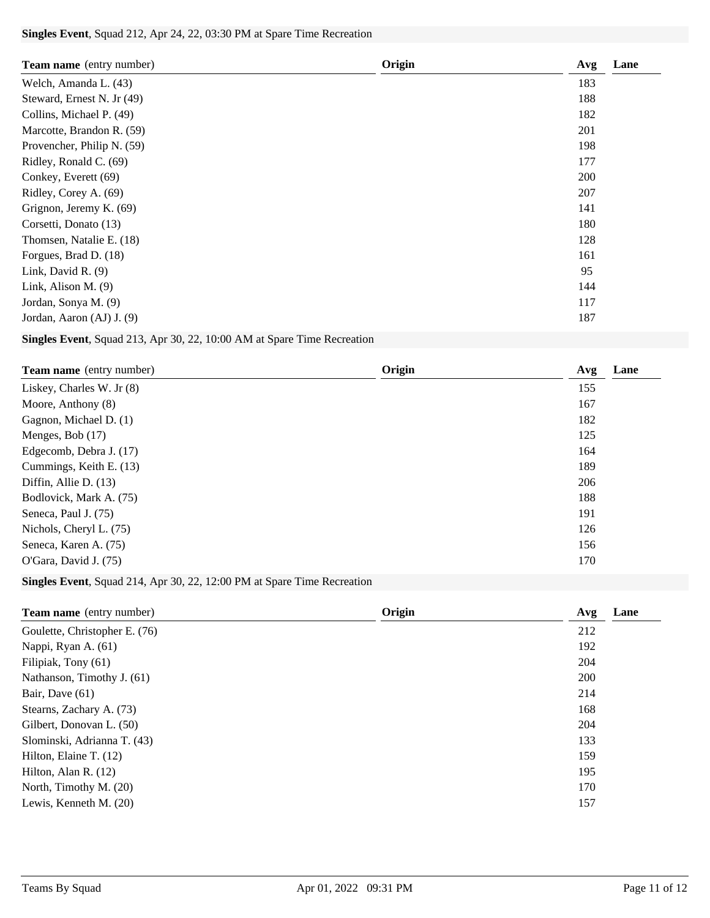### **Singles Event**, Squad 212, Apr 24, 22, 03:30 PM at Spare Time Recreation

| <b>Team name</b> (entry number) | Origin | Avg | Lane |
|---------------------------------|--------|-----|------|
| Welch, Amanda L. (43)           |        | 183 |      |
| Steward, Ernest N. Jr (49)      |        | 188 |      |
| Collins, Michael P. (49)        |        | 182 |      |
| Marcotte, Brandon R. (59)       |        | 201 |      |
| Provencher, Philip N. (59)      |        | 198 |      |
| Ridley, Ronald C. (69)          |        | 177 |      |
| Conkey, Everett (69)            |        | 200 |      |
| Ridley, Corey A. (69)           |        | 207 |      |
| Grignon, Jeremy K. (69)         |        | 141 |      |
| Corsetti, Donato (13)           |        | 180 |      |
| Thomsen, Natalie E. (18)        |        | 128 |      |
| Forgues, Brad D. (18)           |        | 161 |      |
| Link, David R. (9)              |        | 95  |      |
| Link, Alison M. $(9)$           |        | 144 |      |
| Jordan, Sonya M. (9)            |        | 117 |      |
| Jordan, Aaron (AJ) J. (9)       |        | 187 |      |

# **Singles Event**, Squad 213, Apr 30, 22, 10:00 AM at Spare Time Recreation

| <b>Team name</b> (entry number) | Origin | Lane<br>Avg |
|---------------------------------|--------|-------------|
| Liskey, Charles W. Jr (8)       |        | 155         |
| Moore, Anthony (8)              |        | 167         |
| Gagnon, Michael D. (1)          |        | 182         |
| Menges, Bob (17)                |        | 125         |
| Edgecomb, Debra J. (17)         |        | 164         |
| Cummings, Keith E. (13)         |        | 189         |
| Diffin, Allie D. (13)           |        | 206         |
| Bodlovick, Mark A. (75)         |        | 188         |
| Seneca, Paul J. (75)            |        | 191         |
| Nichols, Cheryl L. (75)         |        | 126         |
| Seneca, Karen A. (75)           |        | 156         |
| O'Gara, David J. (75)           |        | 170         |
|                                 |        |             |

# **Singles Event**, Squad 214, Apr 30, 22, 12:00 PM at Spare Time Recreation

| <b>Team name</b> (entry number) | Origin<br>Avg | Lane |
|---------------------------------|---------------|------|
| Goulette, Christopher E. (76)   | 212           |      |
| Nappi, Ryan A. (61)             | 192           |      |
| Filipiak, Tony (61)             | 204           |      |
| Nathanson, Timothy J. (61)      | 200           |      |
| Bair, Dave $(61)$               | 214           |      |
| Stearns, Zachary A. (73)        | 168           |      |
| Gilbert, Donovan L. (50)        | 204           |      |
| Slominski, Adrianna T. (43)     | 133           |      |
| Hilton, Elaine T. (12)          | 159           |      |
| Hilton, Alan R. $(12)$          | 195           |      |
| North, Timothy M. (20)          | 170           |      |
| Lewis, Kenneth M. $(20)$        | 157           |      |